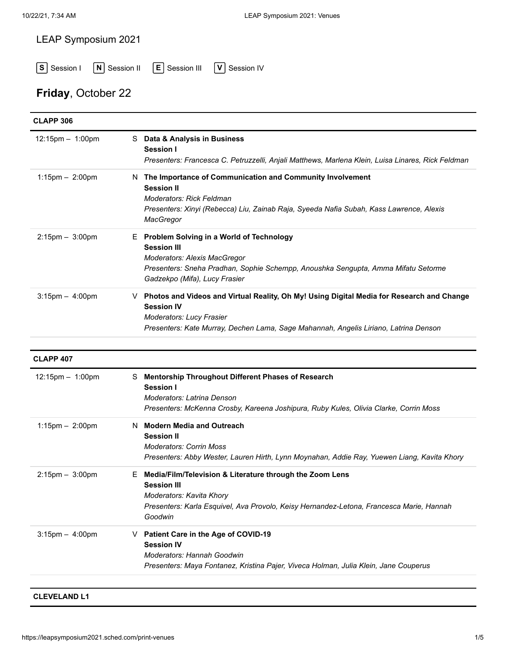### LEAP Symposium 2021

**S** Session I **N** Session II **E** Session III **V** Session IV

# **Friday**, October 22

| <b>CLAPP 306</b>      |                                                                                                                                                                                                                                             |
|-----------------------|---------------------------------------------------------------------------------------------------------------------------------------------------------------------------------------------------------------------------------------------|
| 12:15pm - 1:00pm      | S Data & Analysis in Business<br><b>Session I</b><br>Presenters: Francesca C. Petruzzelli, Anjali Matthews, Marlena Klein, Luisa Linares, Rick Feldman                                                                                      |
| $1:15$ pm $-2:00$ pm  | N The Importance of Communication and Community Involvement<br><b>Session II</b><br><b>Moderators: Rick Feldman</b><br>Presenters: Xinyi (Rebecca) Liu, Zainab Raja, Syeeda Nafia Subah, Kass Lawrence, Alexis<br>MacGregor                 |
| $2:15$ pm $- 3:00$ pm | E Problem Solving in a World of Technology<br><b>Session III</b><br>Moderators: Alexis MacGregor<br>Presenters: Sneha Pradhan, Sophie Schempp, Anoushka Sengupta, Amma Mifatu Setorme<br>Gadzekpo (Mifa), Lucy Frasier                      |
| $3:15$ pm $- 4:00$ pm | ∨ Photos and Videos and Virtual Reality, Oh My! Using Digital Media for Research and Change<br><b>Session IV</b><br><b>Moderators: Lucy Frasier</b><br>Presenters: Kate Murray, Dechen Lama, Sage Mahannah, Angelis Liriano, Latrina Denson |
| <b>CLAPP 407</b>      |                                                                                                                                                                                                                                             |
| 12:15pm - 1:00pm      | S Mentorship Throughout Different Phases of Research<br><b>Session I</b><br><b>Moderators: Latrina Denson</b><br>Presenters: McKenna Crosby, Kareena Joshipura, Ruby Kules, Olivia Clarke, Corrin Moss                                      |
| $1:15$ pm $-2:00$ pm  | <b>Modern Media and Outreach</b><br>N.<br><b>Session II</b><br><b>Moderators: Corrin Moss</b><br>Presenters: Abby Wester, Lauren Hirth, Lynn Moynahan, Addie Ray, Yuewen Liang, Kavita Khory                                                |
| $2:15$ pm $- 3:00$ pm | Media/Film/Television & Literature through the Zoom Lens<br>E<br><b>Session III</b><br>Moderators: Kavita Khory<br>Presenters: Karla Esquivel, Ava Provolo, Keisy Hernandez-Letona, Francesca Marie, Hannah<br>Goodwin                      |
| $3:15$ pm $- 4:00$ pm | Patient Care in the Age of COVID-19<br>V.<br><b>Session IV</b><br>Moderators: Hannah Goodwin<br>Presenters: Maya Fontanez, Kristina Pajer, Viveca Holman, Julia Klein, Jane Couperus                                                        |

### **[CLEVELAND L1](https://leapsymposium2021.sched.com/venue/Cleveland+L1)**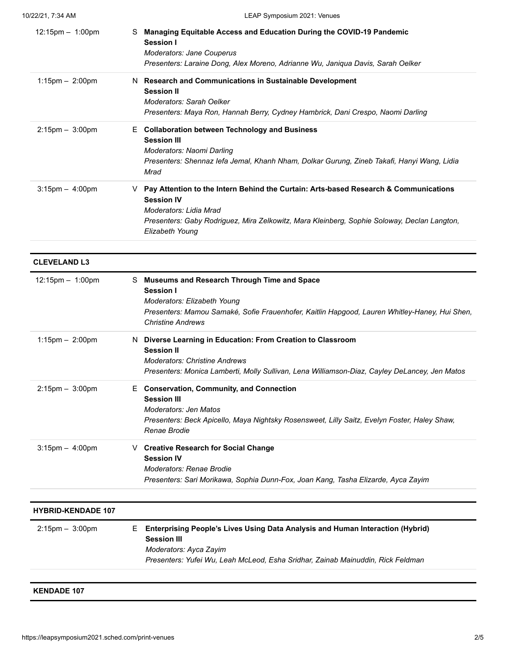| $12:15 \text{pm} - 1:00 \text{pm}$ | Managing Equitable Access and Education During the COVID-19 Pandemic<br>S.<br>Session I<br>Moderators: Jane Couperus<br>Presenters: Laraine Dong, Alex Moreno, Adrianne Wu, Janiqua Davis, Sarah Oelker                                                    |
|------------------------------------|------------------------------------------------------------------------------------------------------------------------------------------------------------------------------------------------------------------------------------------------------------|
| $1:15$ pm $-2:00$ pm               | N Research and Communications in Sustainable Development<br><b>Session II</b><br><b>Moderators: Sarah Oelker</b><br>Presenters: Maya Ron, Hannah Berry, Cydney Hambrick, Dani Crespo, Naomi Darling                                                        |
| $2:15$ pm $-3:00$ pm               | <b>Collaboration between Technology and Business</b><br>Е.<br><b>Session III</b><br>Moderators: Naomi Darling<br>Presenters: Shennaz lefa Jemal, Khanh Nham, Dolkar Gurung, Zineb Takafi, Hanyi Wang, Lidia<br>Mrad                                        |
| $3:15$ pm $-4:00$ pm               | Pay Attention to the Intern Behind the Curtain: Arts-based Research & Communications<br>v<br><b>Session IV</b><br>Moderators: Lidia Mrad<br>Presenters: Gaby Rodriguez, Mira Zelkowitz, Mara Kleinberg, Sophie Soloway, Declan Langton,<br>Elizabeth Young |

### **[CLEVELAND L3](https://leapsymposium2021.sched.com/venue/Cleveland+L3)** 12:15pm – 1:00pm S **[Museums and Research Through Time and Space](https://leapsymposium2021.sched.com/event/5fd456d729ba5d3f281a2cc2602a8976) Session I** *Moderators: Elizabeth Young Presenters: Mamou Samaké, Sofie Frauenhofer, Kaitlin Hapgood, Lauren Whitley-Haney, Hui Shen, Christine Andrews* 1:15pm – 2:00pm N **[Diverse Learning in Education: From Creation to Classroom](https://leapsymposium2021.sched.com/event/ac8fa217b64258d92a85e303c6643976) Session II** *Moderators: Christine Andrews Presenters: Monica Lamberti, Molly Sullivan, Lena Williamson-Diaz, Cayley DeLancey, Jen Matos* 2:15pm – 3:00pm E **[Conservation, Community, and Connection](https://leapsymposium2021.sched.com/event/724ad4e0a65aaefe88e1db0a3e47a2c0) Session III** *Moderators: Jen Matos Presenters: Beck Apicello, Maya Nightsky Rosensweet, Lilly Saitz, Evelyn Foster, Haley Shaw, Renae Brodie* 3:15pm – 4:00pm V **[Creative Research for Social Change](https://leapsymposium2021.sched.com/event/95945fafa53946f022d43f370341c637) Session IV** *Moderators: Renae Brodie Presenters: Sari Morikawa, Sophia Dunn-Fox, Joan Kang, Tasha Elizarde, Ayca Zayim*

| <b>HYBRID-KENDADE 107</b> |                                                                                                        |
|---------------------------|--------------------------------------------------------------------------------------------------------|
| $2:15$ pm $-3:00$ pm      | E Enterprising People's Lives Using Data Analysis and Human Interaction (Hybrid)<br><b>Session III</b> |
|                           | Moderators: Ayca Zayim                                                                                 |
|                           | Presenters: Yufei Wu, Leah McLeod, Esha Sridhar, Zainab Mainuddin, Rick Feldman                        |
|                           |                                                                                                        |

#### **[KENDADE 107](https://leapsymposium2021.sched.com/venue/Kendade+107)**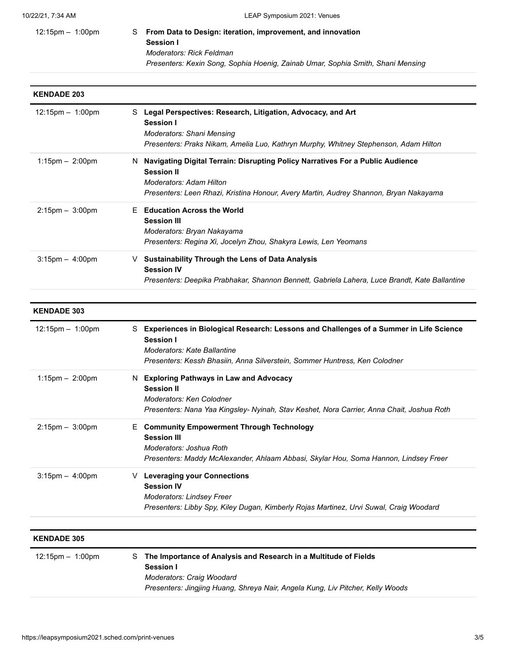### 12:15pm – 1:00pm S **[From Data to Design: iteration, improvement, and innovation](https://leapsymposium2021.sched.com/event/a94f63437f1bd3c36a2e96ba81ac4761) Session I** *Moderators: Rick Feldman Presenters: Kexin Song, Sophia Hoenig, Zainab Umar, Sophia Smith, Shani Mensing*

# **[KENDADE 203](https://leapsymposium2021.sched.com/venue/Kendade+203)** 12:15pm – 1:00pm S **[Legal Perspectives: Research, Litigation, Advocacy, and Art](https://leapsymposium2021.sched.com/event/2d37ba82503373cfeee3b51565a07ad6) Session I** *Moderators: Shani Mensing Presenters: Praks Nikam, Amelia Luo, Kathryn Murphy, Whitney Stephenson, Adam Hilton* 1:15pm – 2:00pm N **[Navigating Digital Terrain: Disrupting Policy Narratives For a Public Audience](https://leapsymposium2021.sched.com/event/ee668704beda5514522017e4f188c690) Session II** *Moderators: Adam Hilton Presenters: Leen Rhazi, Kristina Honour, Avery Martin, Audrey Shannon, Bryan Nakayama* 2:15pm – 3:00pm E **[Education Across the World](https://leapsymposium2021.sched.com/event/a4bdda3db73ad233b8e7b680c97712c8) Session III** *Moderators: Bryan Nakayama Presenters: Regina Xi, Jocelyn Zhou, Shakyra Lewis, Len Yeomans* 3:15pm – 4:00pm V **[Sustainability Through the Lens of Data Analysis](https://leapsymposium2021.sched.com/event/f603ee4e1102916a0f91cf16137b7f99) Session IV** *Presenters: Deepika Prabhakar, Shannon Bennett, Gabriela Lahera, Luce Brandt, Kate Ballantine*

# **[KENDADE 303](https://leapsymposium2021.sched.com/venue/Kendade+303)** 12:15pm – 1:00pm S **[Experiences in Biological Research: Lessons and Challenges of a Summer in Life Science](https://leapsymposium2021.sched.com/event/5f1f95abf30a6a2b5504f61806317ef2) Session I** *Moderators: Kate Ballantine Presenters: Kessh Bhasiin, Anna Silverstein, Sommer Huntress, Ken Colodner* 1:15pm – 2:00pm N **[Exploring Pathways in Law and Advocacy](https://leapsymposium2021.sched.com/event/7c5afc37eb83ba108330e2195ee8f5d8) Session II** *Moderators: Ken Colodner Presenters: Nana Yaa Kingsley- Nyinah, Stav Keshet, Nora Carrier, Anna Chait, Joshua Roth* 2:15pm – 3:00pm E **[Community Empowerment Through Technology](https://leapsymposium2021.sched.com/event/b61645ca74d5e96c50f5628dd2953365) Session III** *Moderators: Joshua Roth Presenters: Maddy McAlexander, Ahlaam Abbasi, Skylar Hou, Soma Hannon, Lindsey Freer* 3:15pm – 4:00pm V **[Leveraging your Connections](https://leapsymposium2021.sched.com/event/0b45dee75b144bdcb3d26825e12fd425) Session IV** *Moderators: Lindsey Freer Presenters: Libby Spy, Kiley Dugan, Kimberly Rojas Martinez, Urvi Suwal, Craig Woodard*

#### **[KENDADE 305](https://leapsymposium2021.sched.com/venue/Kendade+305)**

| $12:15$ pm $-1:00$ pm | S The Importance of Analysis and Research in a Multitude of Fields<br><b>Session I</b>                      |
|-----------------------|-------------------------------------------------------------------------------------------------------------|
|                       | Moderators: Craig Woodard<br>Presenters: Jingjing Huang, Shreya Nair, Angela Kung, Liv Pitcher, Kelly Woods |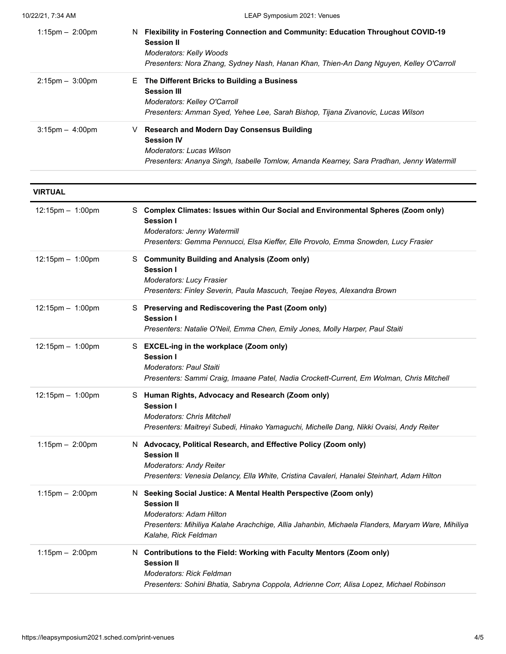| $1:15$ pm $-2:00$ pm | <b>Flexibility in Fostering Connection and Community: Education Throughout COVID-19</b><br>N.<br><b>Session II</b><br><b>Moderators: Kelly Woods</b><br>Presenters: Nora Zhang, Sydney Nash, Hanan Khan, Thien-An Dang Nguyen, Kelley O'Carroll |
|----------------------|-------------------------------------------------------------------------------------------------------------------------------------------------------------------------------------------------------------------------------------------------|
| $2:15$ pm $-3:00$ pm | The Different Bricks to Building a Business<br>E.<br><b>Session III</b><br>Moderators: Kelley O'Carroll<br>Presenters: Amman Syed, Yehee Lee, Sarah Bishop, Tijana Zivanovic, Lucas Wilson                                                      |
| $3:15$ pm $-$ 4:00pm | <b>Research and Modern Day Consensus Building</b><br>v<br><b>Session IV</b><br>Moderators: Lucas Wilson<br>Presenters: Ananya Singh, Isabelle Tomlow, Amanda Kearney, Sara Pradhan, Jenny Watermill                                             |

| <b>VIRTUAL</b>         |                                                                                                                                                                                                                                                      |
|------------------------|------------------------------------------------------------------------------------------------------------------------------------------------------------------------------------------------------------------------------------------------------|
| $12:15$ pm $- 1:00$ pm | S Complex Climates: Issues within Our Social and Environmental Spheres (Zoom only)<br>Session I<br>Moderators: Jenny Watermill<br>Presenters: Gemma Pennucci, Elsa Kieffer, Elle Provolo, Emma Snowden, Lucy Frasier                                 |
| 12:15pm - 1:00pm       | S Community Building and Analysis (Zoom only)<br>Session I<br><b>Moderators: Lucy Frasier</b><br>Presenters: Finley Severin, Paula Mascuch, Teejae Reyes, Alexandra Brown                                                                            |
| 12:15pm - 1:00pm       | S Preserving and Rediscovering the Past (Zoom only)<br>Session I<br>Presenters: Natalie O'Neil, Emma Chen, Emily Jones, Molly Harper, Paul Staiti                                                                                                    |
| 12:15pm - 1:00pm       | S EXCEL-ing in the workplace (Zoom only)<br>Session I<br><b>Moderators: Paul Staiti</b><br>Presenters: Sammi Craig, Imaane Patel, Nadia Crockett-Current, Em Wolman, Chris Mitchell                                                                  |
| 12:15pm - 1:00pm       | S Human Rights, Advocacy and Research (Zoom only)<br>Session I<br><b>Moderators: Chris Mitchell</b><br>Presenters: Maitreyi Subedi, Hinako Yamaguchi, Michelle Dang, Nikki Ovaisi, Andy Reiter                                                       |
| $1:15$ pm $- 2:00$ pm  | N Advocacy, Political Research, and Effective Policy (Zoom only)<br><b>Session II</b><br><b>Moderators: Andy Reiter</b><br>Presenters: Venesia Delancy, Ella White, Cristina Cavaleri, Hanalei Steinhart, Adam Hilton                                |
| $1:15$ pm $-2:00$ pm   | N Seeking Social Justice: A Mental Health Perspective (Zoom only)<br><b>Session II</b><br><b>Moderators: Adam Hilton</b><br>Presenters: Mihiliya Kalahe Arachchige, Allia Jahanbin, Michaela Flanders, Maryam Ware, Mihiliya<br>Kalahe, Rick Feldman |
| $1:15$ pm $- 2:00$ pm  | N Contributions to the Field: Working with Faculty Mentors (Zoom only)<br><b>Session II</b><br><b>Moderators: Rick Feldman</b><br>Presenters: Sohini Bhatia, Sabryna Coppola, Adrienne Corr, Alisa Lopez, Michael Robinson                           |